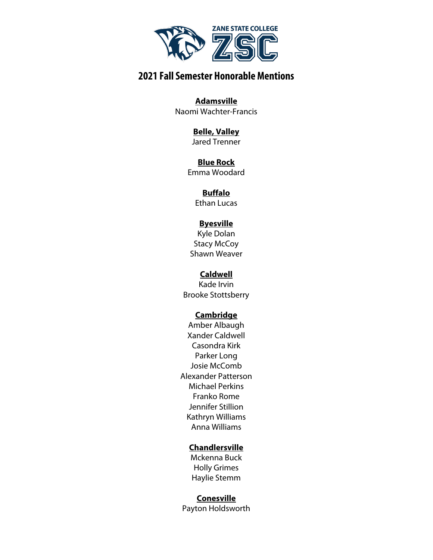

**Adamsville** Naomi Wachter-Francis

#### **Belle, Valley** Jared Trenner

**Blue Rock** Emma Woodard

### **Buffalo**

Ethan Lucas

### **Byesville**

Kyle Dolan Stacy McCoy Shawn Weaver

### **Caldwell**

Kade Irvin Brooke Stottsberry

### **Cambridge**

Amber Albaugh Xander Caldwell Casondra Kirk Parker Long Josie McComb Alexander Patterson Michael Perkins Franko Rome Jennifer Stillion Kathryn Williams Anna Williams

### **Chandlersville**

Mckenna Buck Holly Grimes Haylie Stemm

### **Conesville**

Payton Holdsworth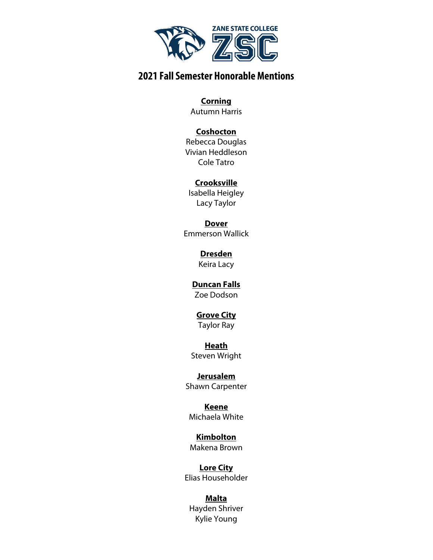

#### **Corning**

Autumn Harris

### **Coshocton**

Rebecca Douglas Vivian Heddleson Cole Tatro

### **Crooksville**

Isabella Heigley Lacy Taylor

**Dover** Emmerson Wallick

> **Dresden** Keira Lacy

# **Duncan Falls**

Zoe Dodson

# **Grove City**

Taylor Ray

#### **Heath** Steven Wright

**Jerusalem** Shawn Carpenter

**Keene** Michaela White

**Kimbolton** Makena Brown

**Lore City** Elias Householder

### **Malta** Hayden Shriver Kylie Young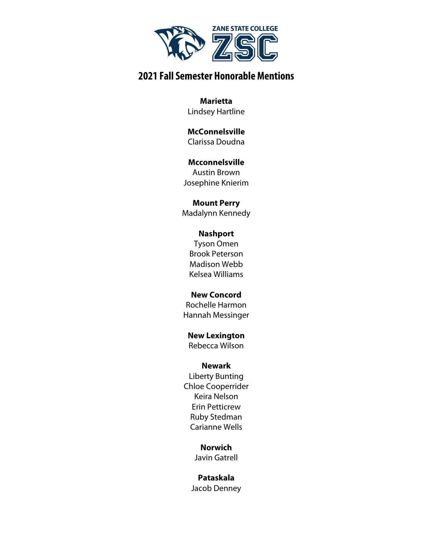

**Marietta** Lindsey Hartline

**McConnelsville** Clarissa Doudna

#### **Mcconnelsville** Austin Brown Josephine Knierim

**Mount Perry** Madalynn Kennedy

### **Nashport**

Tyson Omen Brook Peterson Madison Webb Kelsea Williams

### **New Concord**

Rochelle Harmon Hannah Messinger

# **New Lexington**

Rebecca Wilson

### **Newark**

Liberty Bunting Chloe Cooperrider Keira Nelson Erin Petticrew Ruby Stedman Carianne Wells

## **Norwich**

Javin Gatrell

### **Pataskala**

Jacob Denney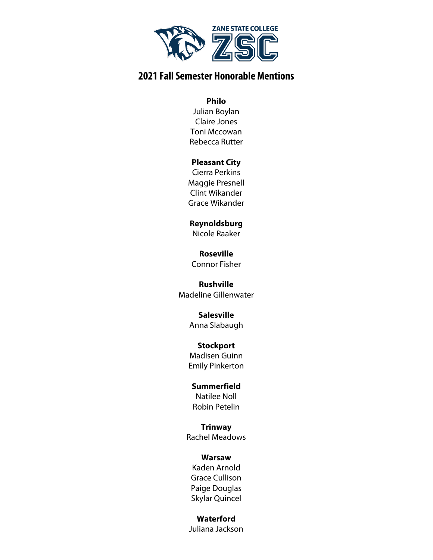

#### **Philo**

Julian Boylan Claire Jones Toni Mccowan Rebecca Rutter

#### **Pleasant City**

Cierra Perkins Maggie Presnell Clint Wikander Grace Wikander

**Reynoldsburg** Nicole Raaker

**Roseville** Connor Fisher

**Rushville** Madeline Gillenwater

> **Salesville** Anna Slabaugh

> **Stockport** Madisen Guinn Emily Pinkerton

**Summerfield** Natilee Noll Robin Petelin

**Trinway** Rachel Meadows

#### **Warsaw**

Kaden Arnold Grace Cullison Paige Douglas Skylar Quincel

### **Waterford**

Juliana Jackson